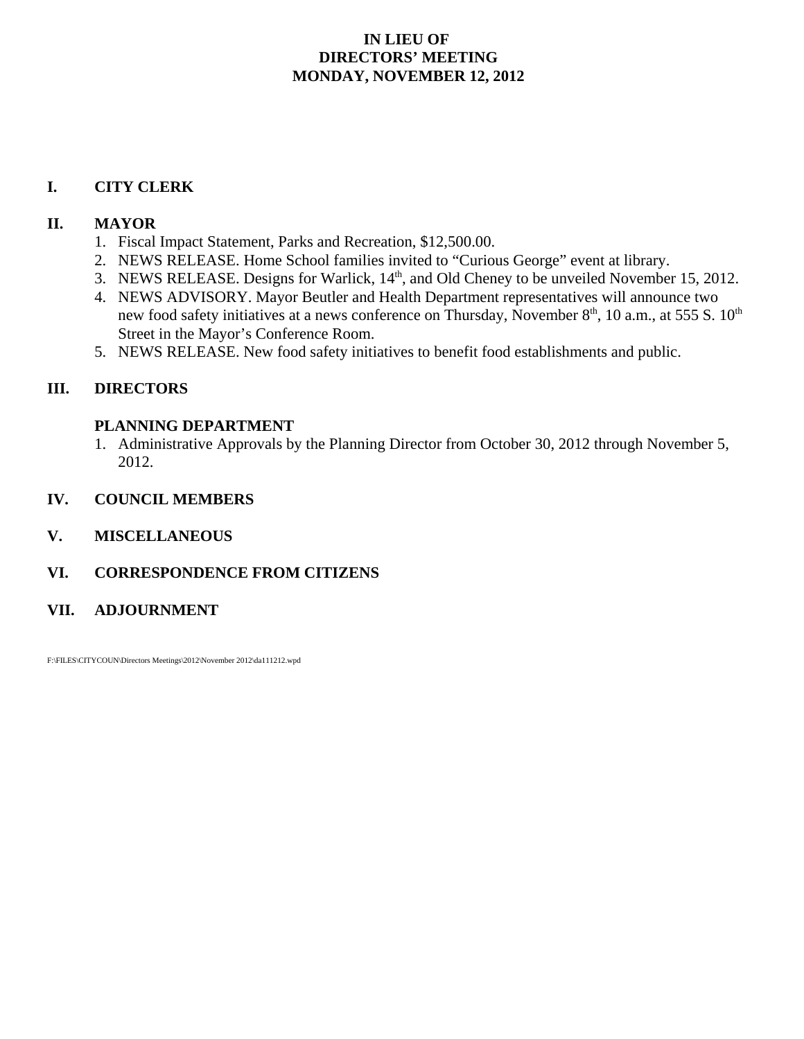## **IN LIEU OF DIRECTORS' MEETING MONDAY, NOVEMBER 12, 2012**

## **I. CITY CLERK**

## **II. MAYOR**

- 1. Fiscal Impact Statement, Parks and Recreation, \$12,500.00.
- 2. NEWS RELEASE. Home School families invited to "Curious George" event at library.
- 3. NEWS RELEASE. Designs for Warlick, 14<sup>th</sup>, and Old Cheney to be unveiled November 15, 2012.
- 4. NEWS ADVISORY. Mayor Beutler and Health Department representatives will announce two new food safety initiatives at a news conference on Thursday, November 8<sup>th</sup>, 10 a.m., at 555 S. 10<sup>th</sup> Street in the Mayor's Conference Room.
- 5. NEWS RELEASE. New food safety initiatives to benefit food establishments and public.

## **III. DIRECTORS**

## **PLANNING DEPARTMENT**

- 1. Administrative Approvals by the Planning Director from October 30, 2012 through November 5, 2012.
- **IV. COUNCIL MEMBERS**
- **V. MISCELLANEOUS**
- **VI. CORRESPONDENCE FROM CITIZENS**
- **VII. ADJOURNMENT**

F:\FILES\CITYCOUN\Directors Meetings\2012\November 2012\da111212.wpd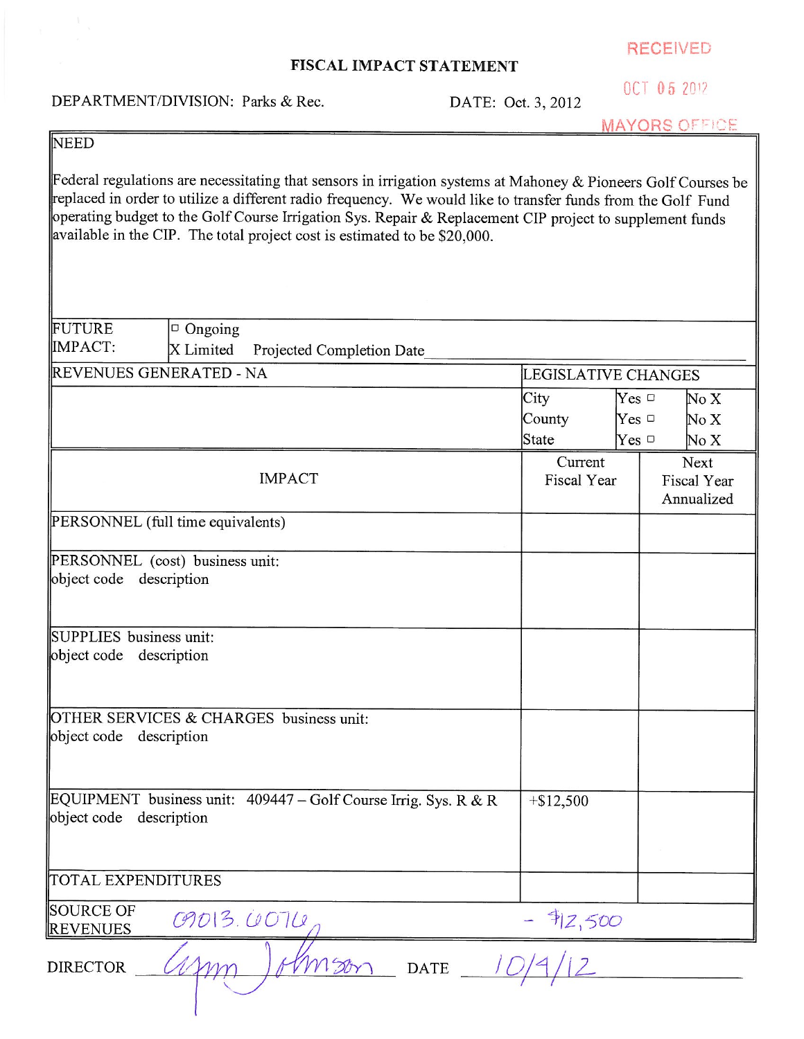### FISCAL IMPACT STATEMENT

**RECEIVED** 

DEPARTMENT/DIVISION: Parks & Rec.

DATE: Oct. 3, 2012

OCT 05 2012 **MAYORS OFFICE** 

NEED

Federal regulations are necessitating that sensors in irrigation systems at Mahoney & Pioneers Golf Courses be replaced in order to utilize a different radio frequency. We would like to transfer funds from the Golf Fund operating budget to the Golf Course Irrigation Sys. Repair & Replacement CIP project to supplement funds available in the CIP. The total project cost is estimated to be \$20,000.

| FUTURE                                                     | $\Box$ Ongoing                                                  |                     |                               |  |
|------------------------------------------------------------|-----------------------------------------------------------------|---------------------|-------------------------------|--|
| IMPACT:                                                    | X Limited<br>Projected Completion Date                          |                     |                               |  |
|                                                            | <b>REVENUES GENERATED - NA</b>                                  | LEGISLATIVE CHANGES |                               |  |
|                                                            |                                                                 | City                | $Yes \nightharpoonup$<br>No X |  |
|                                                            |                                                                 | County              | $Yes \Box$<br>No X            |  |
|                                                            |                                                                 | State               | $Yes \Box$<br>No X            |  |
|                                                            |                                                                 | Current             | Next                          |  |
|                                                            | <b>IMPACT</b>                                                   | Fiscal Year         | <b>Fiscal Year</b>            |  |
|                                                            |                                                                 |                     | Annualized                    |  |
|                                                            | PERSONNEL (full time equivalents)                               |                     |                               |  |
|                                                            |                                                                 |                     |                               |  |
| PERSONNEL (cost) business unit:<br>object code description |                                                                 |                     |                               |  |
|                                                            |                                                                 |                     |                               |  |
|                                                            |                                                                 |                     |                               |  |
| SUPPLIES business unit:                                    |                                                                 |                     |                               |  |
| object code description                                    |                                                                 |                     |                               |  |
|                                                            |                                                                 |                     |                               |  |
|                                                            |                                                                 |                     |                               |  |
| OTHER SERVICES & CHARGES business unit:                    |                                                                 |                     |                               |  |
| object code description                                    |                                                                 |                     |                               |  |
|                                                            |                                                                 |                     |                               |  |
|                                                            |                                                                 |                     |                               |  |
| object code description                                    | EQUIPMENT business unit: 409447 – Golf Course Irrig. Sys. R & R | $+ $12,500$         |                               |  |
|                                                            |                                                                 |                     |                               |  |
|                                                            |                                                                 |                     |                               |  |
| TOTAL EXPENDITURES                                         |                                                                 |                     |                               |  |
|                                                            |                                                                 |                     |                               |  |
| <b>SOURCE OF</b><br><b>REVENUES</b>                        | 09013.0070                                                      | 42,500              |                               |  |
| <b>DIRECTOR</b>                                            | MSOr<br><b>DATE</b>                                             |                     |                               |  |
|                                                            |                                                                 |                     |                               |  |
|                                                            |                                                                 |                     |                               |  |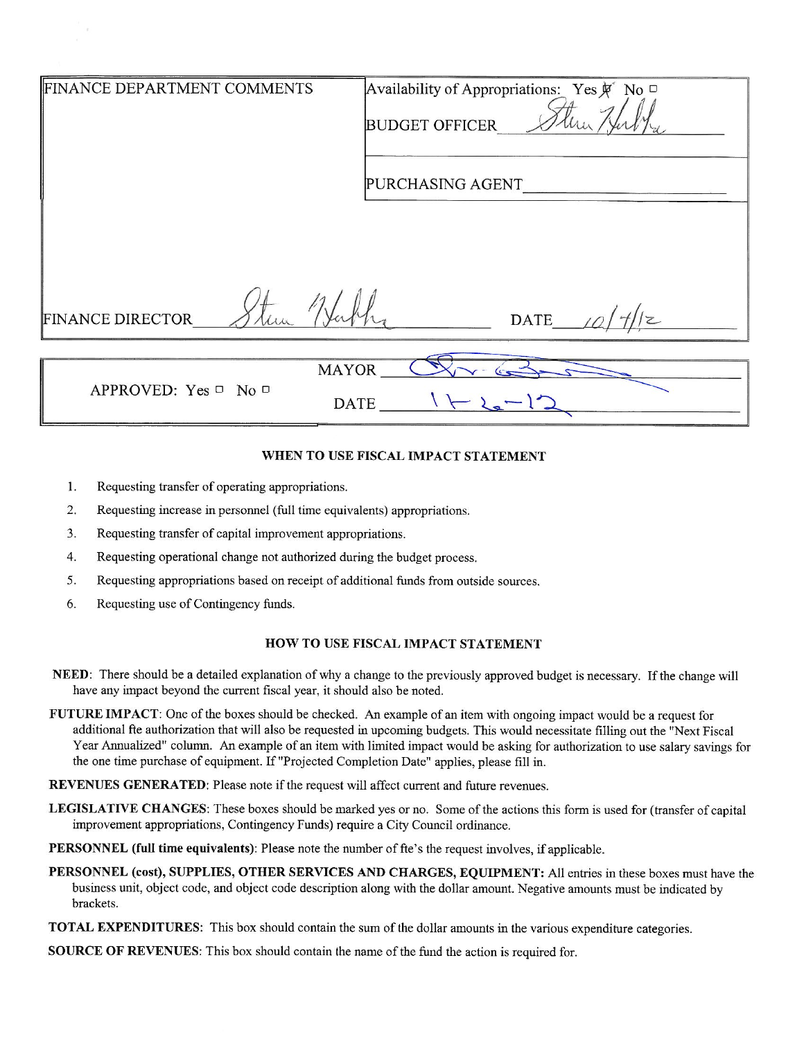| FINANCE DEPARTMENT COMMENTS                                   | Availability of Appropriations: Yes ∜ No □<br><b>BUDGET OFFICER</b><br>PURCHASING AGENT |
|---------------------------------------------------------------|-----------------------------------------------------------------------------------------|
|                                                               |                                                                                         |
| <b>FINANCE DIRECTOR</b>                                       | <b>DATE</b>                                                                             |
|                                                               |                                                                                         |
| <b>MAYOR</b><br>APPROVED: Yes $\Box$ No $\Box$<br><b>DATE</b> |                                                                                         |

#### WHEN TO USE FISCAL IMPACT STATEMENT

- 1. Requesting transfer of operating appropriations.
- $2.$ Requesting increase in personnel (full time equivalents) appropriations.
- $3.$ Requesting transfer of capital improvement appropriations.
- 4. Requesting operational change not authorized during the budget process.
- 5. Requesting appropriations based on receipt of additional funds from outside sources.
- 6. Requesting use of Contingency funds.

#### HOW TO USE FISCAL IMPACT STATEMENT

- NEED: There should be a detailed explanation of why a change to the previously approved budget is necessary. If the change will have any impact beyond the current fiscal year, it should also be noted.
- FUTURE IMPACT: One of the boxes should be checked. An example of an item with ongoing impact would be a request for additional fte authorization that will also be requested in upcoming budgets. This would necessitate filling out the "Next Fiscal Year Annualized" column. An example of an item with limited impact would be asking for authorization to use salary savings for the one time purchase of equipment. If "Projected Completion Date" applies, please fill in.
- **REVENUES GENERATED:** Please note if the request will affect current and future revenues.
- LEGISLATIVE CHANGES: These boxes should be marked yes or no. Some of the actions this form is used for (transfer of capital improvement appropriations, Contingency Funds) require a City Council ordinance.
- **PERSONNEL** (full time equivalents): Please note the number of fte's the request involves, if applicable.
- PERSONNEL (cost), SUPPLIES, OTHER SERVICES AND CHARGES, EQUIPMENT: All entries in these boxes must have the business unit, object code, and object code description along with the dollar amount. Negative amounts must be indicated by brackets.
- TOTAL EXPENDITURES: This box should contain the sum of the dollar amounts in the various expenditure categories.
- SOURCE OF REVENUES: This box should contain the name of the fund the action is required for.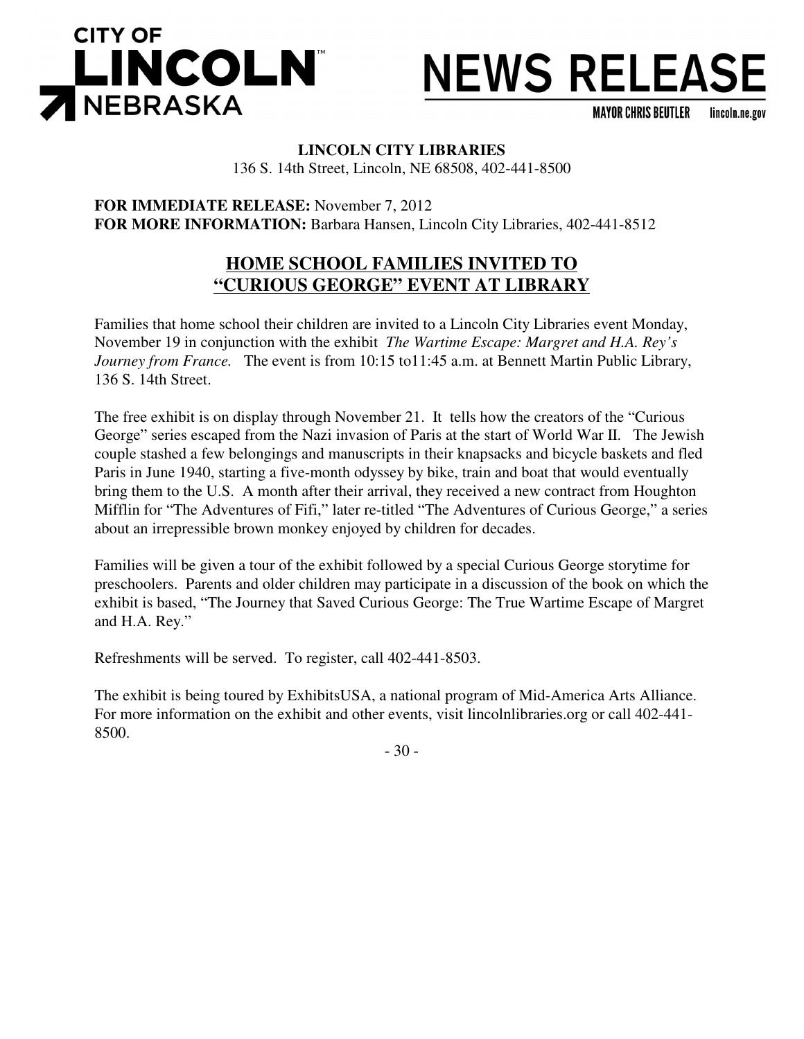

## **NEWS RELEASE**

**MAYOR CHRIS BEUTLER** lincoln.ne.gov

## **LINCOLN CITY LIBRARIES**

136 S. 14th Street, Lincoln, NE 68508, 402-441-8500

**FOR IMMEDIATE RELEASE:** November 7, 2012 **FOR MORE INFORMATION:** Barbara Hansen, Lincoln City Libraries, 402-441-8512

## **HOME SCHOOL FAMILIES INVITED TO "CURIOUS GEORGE" EVENT AT LIBRARY**

Families that home school their children are invited to a Lincoln City Libraries event Monday, November 19 in conjunction with the exhibit *The Wartime Escape: Margret and H.A. Rey's Journey from France.* The event is from 10:15 to11:45 a.m. at Bennett Martin Public Library, 136 S. 14th Street.

The free exhibit is on display through November 21. It tells how the creators of the "Curious George" series escaped from the Nazi invasion of Paris at the start of World War II. The Jewish couple stashed a few belongings and manuscripts in their knapsacks and bicycle baskets and fled Paris in June 1940, starting a five-month odyssey by bike, train and boat that would eventually bring them to the U.S. A month after their arrival, they received a new contract from Houghton Mifflin for "The Adventures of Fifi," later re-titled "The Adventures of Curious George," a series about an irrepressible brown monkey enjoyed by children for decades.

Families will be given a tour of the exhibit followed by a special Curious George storytime for preschoolers. Parents and older children may participate in a discussion of the book on which the exhibit is based, "The Journey that Saved Curious George: The True Wartime Escape of Margret and H.A. Rey."

Refreshments will be served. To register, call 402-441-8503.

The exhibit is being toured by ExhibitsUSA, a national program of Mid-America Arts Alliance. For more information on the exhibit and other events, visit lincolnlibraries.org or call 402-441- 8500.

- 30 -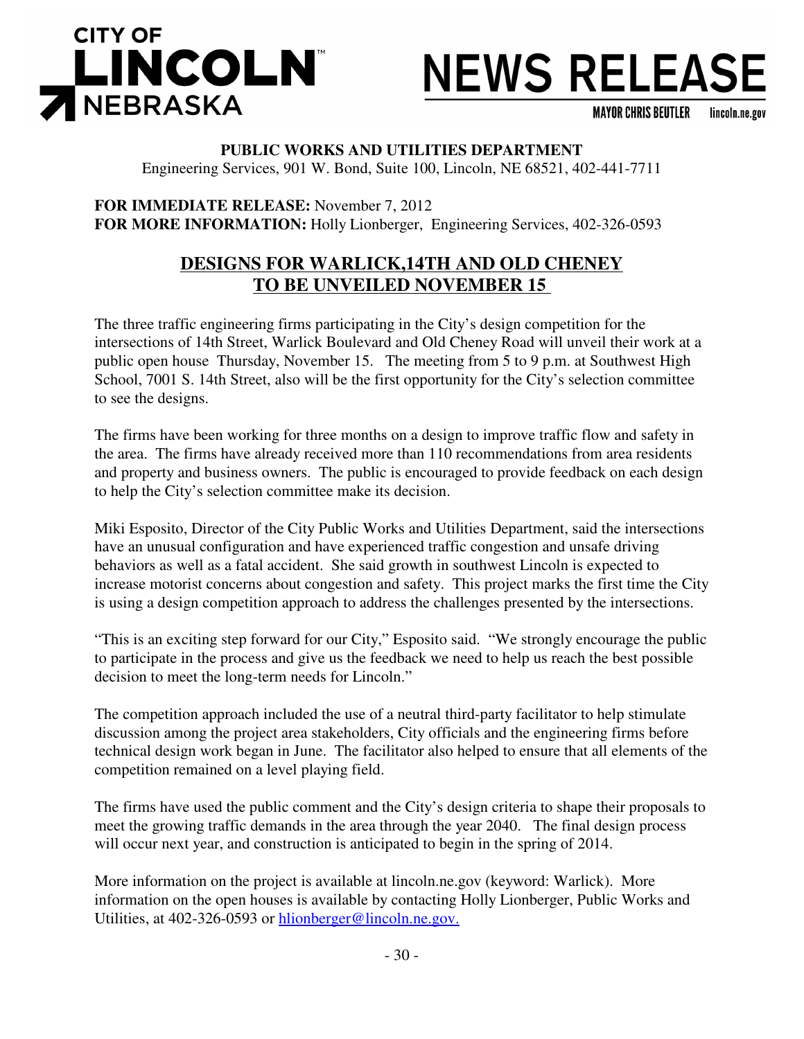

# **NEWS RELEASE**

**MAYOR CHRIS BEUTLER** lincoln.ne.gov

### **PUBLIC WORKS AND UTILITIES DEPARTMENT**

Engineering Services, 901 W. Bond, Suite 100, Lincoln, NE 68521, 402-441-7711

**FOR IMMEDIATE RELEASE:** November 7, 2012 **FOR MORE INFORMATION:** Holly Lionberger, Engineering Services, 402-326-0593

## **DESIGNS FOR WARLICK,14TH AND OLD CHENEY TO BE UNVEILED NOVEMBER 15**

The three traffic engineering firms participating in the City's design competition for the intersections of 14th Street, Warlick Boulevard and Old Cheney Road will unveil their work at a public open house Thursday, November 15. The meeting from 5 to 9 p.m. at Southwest High School, 7001 S. 14th Street, also will be the first opportunity for the City's selection committee to see the designs.

The firms have been working for three months on a design to improve traffic flow and safety in the area. The firms have already received more than 110 recommendations from area residents and property and business owners. The public is encouraged to provide feedback on each design to help the City's selection committee make its decision.

Miki Esposito, Director of the City Public Works and Utilities Department, said the intersections have an unusual configuration and have experienced traffic congestion and unsafe driving behaviors as well as a fatal accident. She said growth in southwest Lincoln is expected to increase motorist concerns about congestion and safety. This project marks the first time the City is using a design competition approach to address the challenges presented by the intersections.

"This is an exciting step forward for our City," Esposito said. "We strongly encourage the public to participate in the process and give us the feedback we need to help us reach the best possible decision to meet the long-term needs for Lincoln."

The competition approach included the use of a neutral third-party facilitator to help stimulate discussion among the project area stakeholders, City officials and the engineering firms before technical design work began in June. The facilitator also helped to ensure that all elements of the competition remained on a level playing field.

The firms have used the public comment and the City's design criteria to shape their proposals to meet the growing traffic demands in the area through the year 2040. The final design process will occur next year, and construction is anticipated to begin in the spring of 2014.

More information on the project is available at lincoln.ne.gov (keyword: Warlick). More information on the open houses is available by contacting Holly Lionberger, Public Works and Utilities, at 402-326-0593 or hlionberger@lincoln.ne.gov.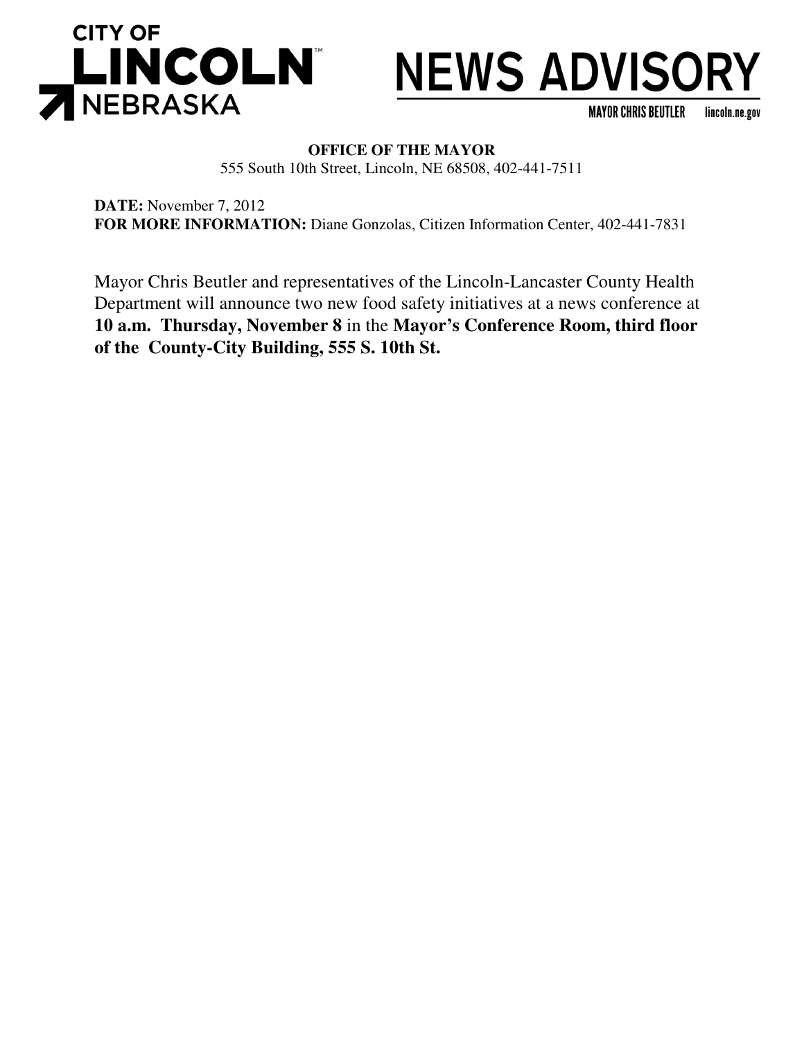



**MAYOR CHRIS BEUTLER** lincoln.ne.gov

## **OFFICE OF THE MAYOR**

555 South 10th Street, Lincoln, NE 68508, 402-441-7511

**DATE:** November 7, 2012 **FOR MORE INFORMATION:** Diane Gonzolas, Citizen Information Center, 402-441-7831

Mayor Chris Beutler and representatives of the Lincoln-Lancaster County Health Department will announce two new food safety initiatives at a news conference at **10 a.m. Thursday, November 8** in the **Mayor's Conference Room, third floor of the County-City Building, 555 S. 10th St.**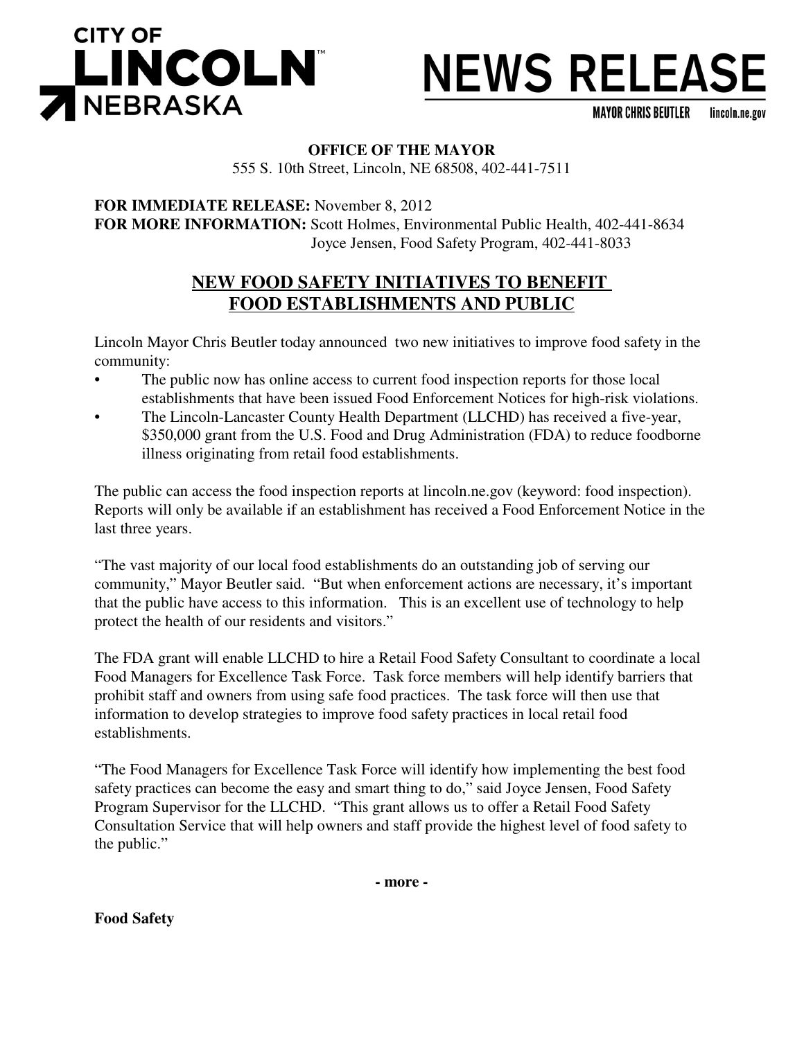

## **NEWS RELEASE**

**MAYOR CHRIS BEUTLER** lincoln.ne.gov

## **OFFICE OF THE MAYOR**

555 S. 10th Street, Lincoln, NE 68508, 402-441-7511

**FOR IMMEDIATE RELEASE:** November 8, 2012 **FOR MORE INFORMATION:** Scott Holmes, Environmental Public Health, 402-441-8634 Joyce Jensen, Food Safety Program, 402-441-8033

## **NEW FOOD SAFETY INITIATIVES TO BENEFIT FOOD ESTABLISHMENTS AND PUBLIC**

Lincoln Mayor Chris Beutler today announced two new initiatives to improve food safety in the community:

- The public now has online access to current food inspection reports for those local establishments that have been issued Food Enforcement Notices for high-risk violations.
- The Lincoln-Lancaster County Health Department (LLCHD) has received a five-year, \$350,000 grant from the U.S. Food and Drug Administration (FDA) to reduce foodborne illness originating from retail food establishments.

The public can access the food inspection reports at lincoln.ne.gov (keyword: food inspection). Reports will only be available if an establishment has received a Food Enforcement Notice in the last three years.

"The vast majority of our local food establishments do an outstanding job of serving our community," Mayor Beutler said. "But when enforcement actions are necessary, it's important that the public have access to this information. This is an excellent use of technology to help protect the health of our residents and visitors."

The FDA grant will enable LLCHD to hire a Retail Food Safety Consultant to coordinate a local Food Managers for Excellence Task Force. Task force members will help identify barriers that prohibit staff and owners from using safe food practices. The task force will then use that information to develop strategies to improve food safety practices in local retail food establishments.

"The Food Managers for Excellence Task Force will identify how implementing the best food safety practices can become the easy and smart thing to do," said Joyce Jensen, Food Safety Program Supervisor for the LLCHD. "This grant allows us to offer a Retail Food Safety Consultation Service that will help owners and staff provide the highest level of food safety to the public."

**- more -**

#### **Food Safety**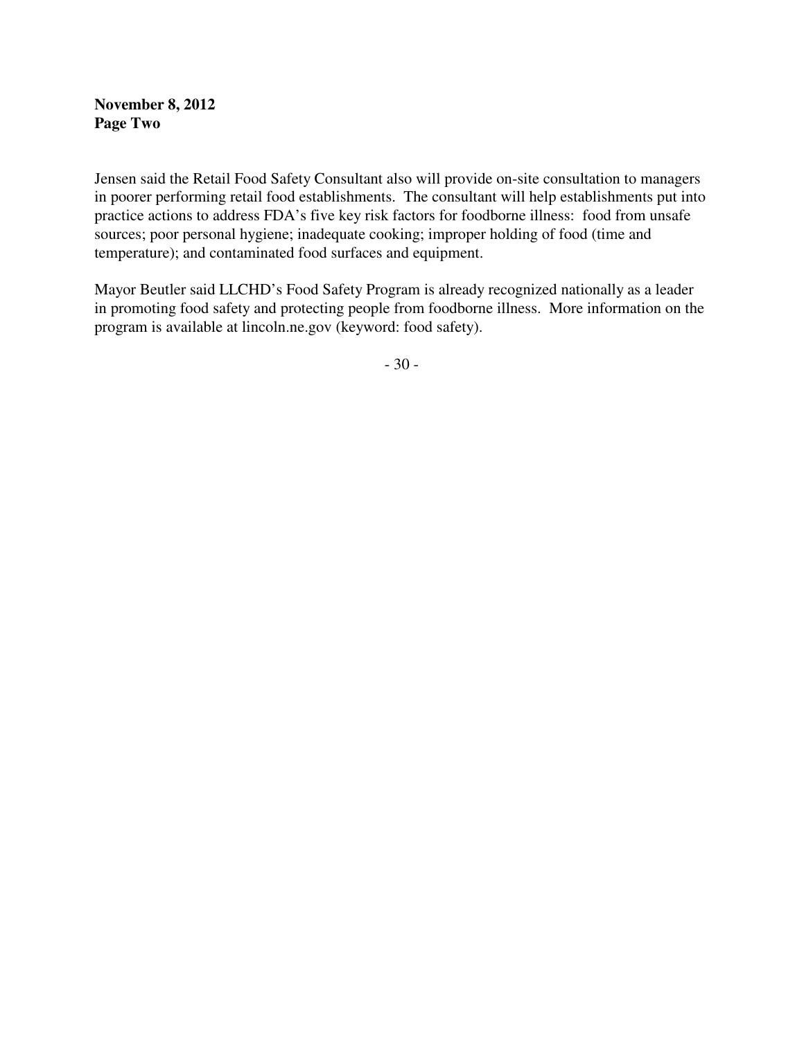**November 8, 2012 Page Two**

Jensen said the Retail Food Safety Consultant also will provide on-site consultation to managers in poorer performing retail food establishments. The consultant will help establishments put into practice actions to address FDA's five key risk factors for foodborne illness: food from unsafe sources; poor personal hygiene; inadequate cooking; improper holding of food (time and temperature); and contaminated food surfaces and equipment.

Mayor Beutler said LLCHD's Food Safety Program is already recognized nationally as a leader in promoting food safety and protecting people from foodborne illness. More information on the program is available at lincoln.ne.gov (keyword: food safety).

 $-30-$